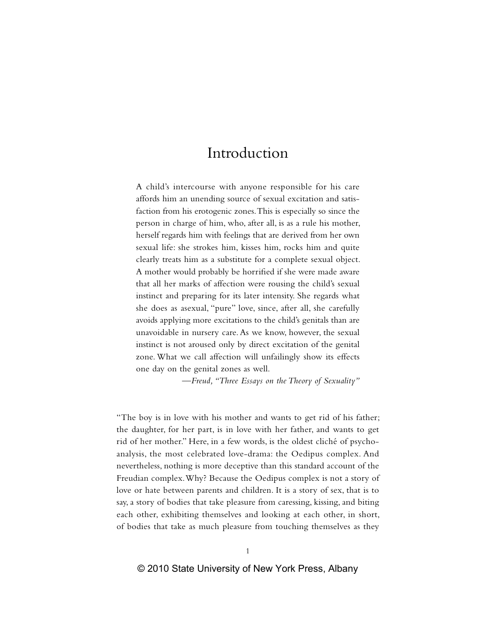# Introduction

A child's intercourse with anyone responsible for his care affords him an unending source of sexual excitation and satisfaction from his erotogenic zones. This is especially so since the person in charge of him, who, after all, is as a rule his mother, herself regards him with feelings that are derived from her own sexual life: she strokes him, kisses him, rocks him and quite clearly treats him as a substitute for a complete sexual object. A mother would probably be horrified if she were made aware that all her marks of affection were rousing the child's sexual instinct and preparing for its later intensity. She regards what she does as asexual, "pure" love, since, after all, she carefully avoids applying more excitations to the child's genitals than are unavoidable in nursery care. As we know, however, the sexual instinct is not aroused only by direct excitation of the genital zone. What we call affection will unfailingly show its effects one day on the genital zones as well.

*—Freud, "Three Essays on the Theory of Sexuality"*

"The boy is in love with his mother and wants to get rid of his father; the daughter, for her part, is in love with her father, and wants to get rid of her mother." Here, in a few words, is the oldest cliché of psychoanalysis, the most celebrated love-drama: the Oedipus complex. And nevertheless, nothing is more deceptive than this standard account of the Freudian complex. Why? Because the Oedipus complex is not a story of love or hate between parents and children. It is a story of sex, that is to say, a story of bodies that take pleasure from caressing, kissing, and biting each other, exhibiting themselves and looking at each other, in short, of bodies that take as much pleasure from touching themselves as they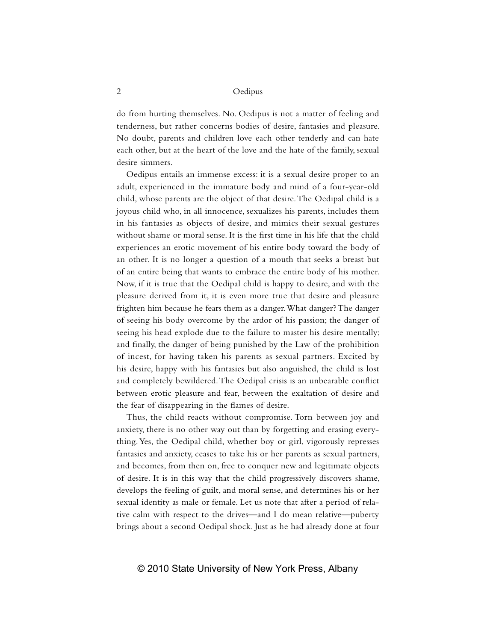#### 2 Oedipus

do from hurting themselves. No. Oedipus is not a matter of feeling and tenderness, but rather concerns bodies of desire, fantasies and pleasure. No doubt, parents and children love each other tenderly and can hate each other, but at the heart of the love and the hate of the family, sexual desire simmers.

Oedipus entails an immense excess: it is a sexual desire proper to an adult, experienced in the immature body and mind of a four-year-old child, whose parents are the object of that desire. The Oedipal child is a joyous child who, in all innocence, sexualizes his parents, includes them in his fantasies as objects of desire, and mimics their sexual gestures without shame or moral sense. It is the first time in his life that the child experiences an erotic movement of his entire body toward the body of an other. It is no longer a question of a mouth that seeks a breast but of an entire being that wants to embrace the entire body of his mother. Now, if it is true that the Oedipal child is happy to desire, and with the pleasure derived from it, it is even more true that desire and pleasure frighten him because he fears them as a danger. What danger? The danger of seeing his body overcome by the ardor of his passion; the danger of seeing his head explode due to the failure to master his desire mentally; and finally, the danger of being punished by the Law of the prohibition of incest, for having taken his parents as sexual partners. Excited by his desire, happy with his fantasies but also anguished, the child is lost and completely bewildered. The Oedipal crisis is an unbearable conflict between erotic pleasure and fear, between the exaltation of desire and the fear of disappearing in the flames of desire.

Thus, the child reacts without compromise. Torn between joy and anxiety, there is no other way out than by forgetting and erasing everything. Yes, the Oedipal child, whether boy or girl, vigorously represses fantasies and anxiety, ceases to take his or her parents as sexual partners, and becomes, from then on, free to conquer new and legitimate objects of desire. It is in this way that the child progressively discovers shame, develops the feeling of guilt, and moral sense, and determines his or her sexual identity as male or female. Let us note that after a period of relative calm with respect to the drives—and I do mean relative—puberty brings about a second Oedipal shock. Just as he had already done at four

### © 2010 State University of New York Press, Albany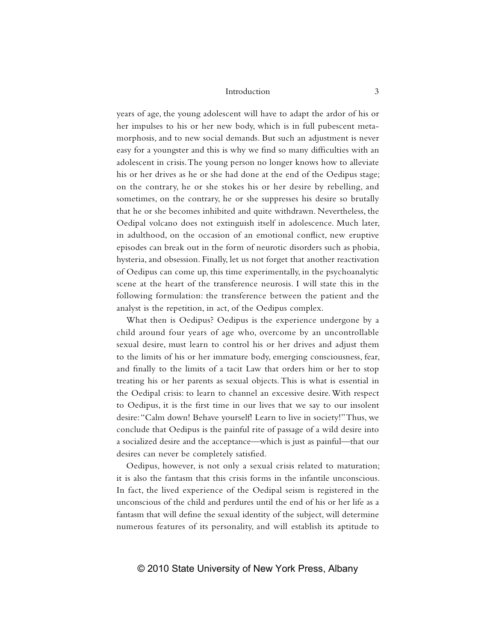#### Introduction 3

years of age, the young adolescent will have to adapt the ardor of his or her impulses to his or her new body, which is in full pubescent metamorphosis, and to new social demands. But such an adjustment is never easy for a youngster and this is why we find so many difficulties with an adolescent in crisis. The young person no longer knows how to alleviate his or her drives as he or she had done at the end of the Oedipus stage; on the contrary, he or she stokes his or her desire by rebelling, and sometimes, on the contrary, he or she suppresses his desire so brutally that he or she becomes inhibited and quite withdrawn. Nevertheless, the Oedipal volcano does not extinguish itself in adolescence. Much later, in adulthood, on the occasion of an emotional conflict, new eruptive episodes can break out in the form of neurotic disorders such as phobia, hysteria, and obsession. Finally, let us not forget that another reactivation of Oedipus can come up, this time experimentally, in the psychoanalytic scene at the heart of the transference neurosis. I will state this in the following formulation: the transference between the patient and the analyst is the repetition, in act, of the Oedipus complex.

What then is Oedipus? Oedipus is the experience undergone by a child around four years of age who, overcome by an uncontrollable sexual desire, must learn to control his or her drives and adjust them to the limits of his or her immature body, emerging consciousness, fear, and finally to the limits of a tacit Law that orders him or her to stop treating his or her parents as sexual objects. This is what is essential in the Oedipal crisis: to learn to channel an excessive desire. With respect to Oedipus, it is the first time in our lives that we say to our insolent desire: "Calm down! Behave yourself! Learn to live in society!" Thus, we conclude that Oedipus is the painful rite of passage of a wild desire into a socialized desire and the acceptance—which is just as painful—that our desires can never be completely satisfied.

Oedipus, however, is not only a sexual crisis related to maturation; it is also the fantasm that this crisis forms in the infantile unconscious. In fact, the lived experience of the Oedipal seism is registered in the unconscious of the child and perdures until the end of his or her life as a fantasm that will define the sexual identity of the subject, will determine numerous features of its personality, and will establish its aptitude to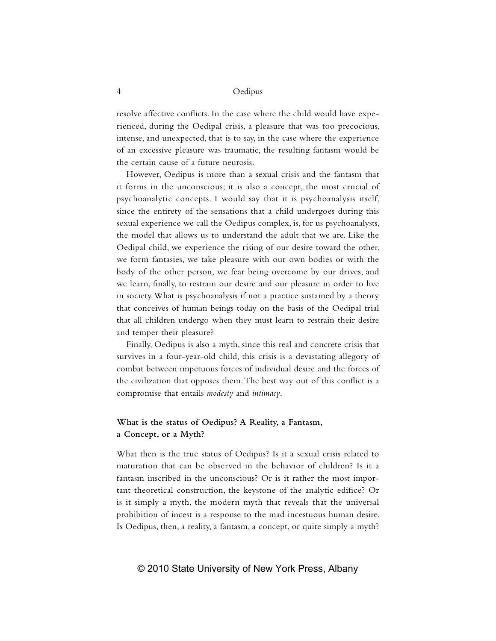#### 4 Oedipus

resolve affective conflicts. In the case where the child would have experienced, during the Oedipal crisis, a pleasure that was too precocious, intense, and unexpected, that is to say, in the case where the experience of an excessive pleasure was traumatic, the resulting fantasm would be the certain cause of a future neurosis.

However, Oedipus is more than a sexual crisis and the fantasm that it forms in the unconscious; it is also a concept, the most crucial of psychoanalytic concepts. I would say that it is psychoanalysis itself, since the entirety of the sensations that a child undergoes during this sexual experience we call the Oedipus complex, is, for us psychoanalysts, the model that allows us to understand the adult that we are. Like the Oedipal child, we experience the rising of our desire toward the other, we form fantasies, we take pleasure with our own bodies or with the body of the other person, we fear being overcome by our drives, and we learn, finally, to restrain our desire and our pleasure in order to live in society. What is psychoanalysis if not a practice sustained by a theory that conceives of human beings today on the basis of the Oedipal trial that all children undergo when they must learn to restrain their desire and temper their pleasure?

Finally, Oedipus is also a myth, since this real and concrete crisis that survives in a four-year-old child, this crisis is a devastating allegory of combat between impetuous forces of individual desire and the forces of the civilization that opposes them. The best way out of this conflict is a compromise that entails *modesty* and *intimacy*.

# **What is the status of Oedipus? A Reality, a Fantasm, a Concept, or a Myth?**

What then is the true status of Oedipus? Is it a sexual crisis related to maturation that can be observed in the behavior of children? Is it a fantasm inscribed in the unconscious? Or is it rather the most important theoretical construction, the keystone of the analytic edifice? Or is it simply a myth, the modern myth that reveals that the universal prohibition of incest is a response to the mad incestuous human desire. Is Oedipus, then, a reality, a fantasm, a concept, or quite simply a myth?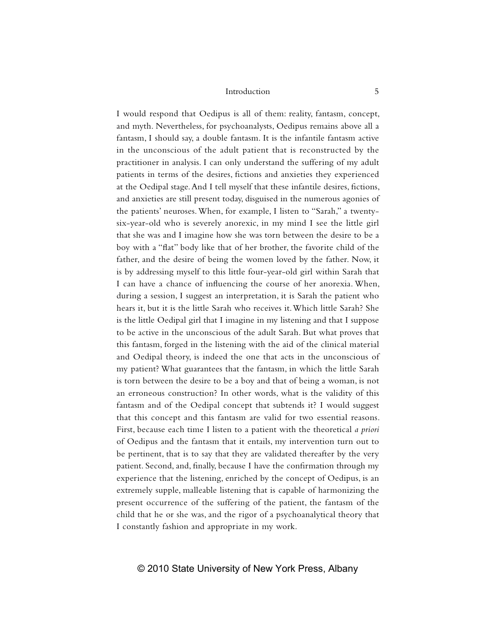#### Introduction 5

I would respond that Oedipus is all of them: reality, fantasm, concept, and myth. Nevertheless, for psychoanalysts, Oedipus remains above all a fantasm, I should say, a double fantasm. It is the infantile fantasm active in the unconscious of the adult patient that is reconstructed by the practitioner in analysis. I can only understand the suffering of my adult patients in terms of the desires, fictions and anxieties they experienced at the Oedipal stage. And I tell myself that these infantile desires, fictions, and anxieties are still present today, disguised in the numerous agonies of the patients' neuroses. When, for example, I listen to "Sarah," a twentysix-year-old who is severely anorexic, in my mind I see the little girl that she was and I imagine how she was torn between the desire to be a boy with a "flat" body like that of her brother, the favorite child of the father, and the desire of being the women loved by the father. Now, it is by addressing myself to this little four-year-old girl within Sarah that I can have a chance of influencing the course of her anorexia. When, during a session, I suggest an interpretation, it is Sarah the patient who hears it, but it is the little Sarah who receives it. Which little Sarah? She is the little Oedipal girl that I imagine in my listening and that I suppose to be active in the unconscious of the adult Sarah. But what proves that this fantasm, forged in the listening with the aid of the clinical material and Oedipal theory, is indeed the one that acts in the unconscious of my patient? What guarantees that the fantasm, in which the little Sarah is torn between the desire to be a boy and that of being a woman, is not an erroneous construction? In other words, what is the validity of this fantasm and of the Oedipal concept that subtends it? I would suggest that this concept and this fantasm are valid for two essential reasons. First, because each time I listen to a patient with the theoretical *a priori*  of Oedipus and the fantasm that it entails, my intervention turn out to be pertinent, that is to say that they are validated thereafter by the very patient. Second, and, finally, because I have the confirmation through my experience that the listening, enriched by the concept of Oedipus, is an extremely supple, malleable listening that is capable of harmonizing the present occurrence of the suffering of the patient, the fantasm of the child that he or she was, and the rigor of a psychoanalytical theory that I constantly fashion and appropriate in my work.

## © 2010 State University of New York Press, Albany